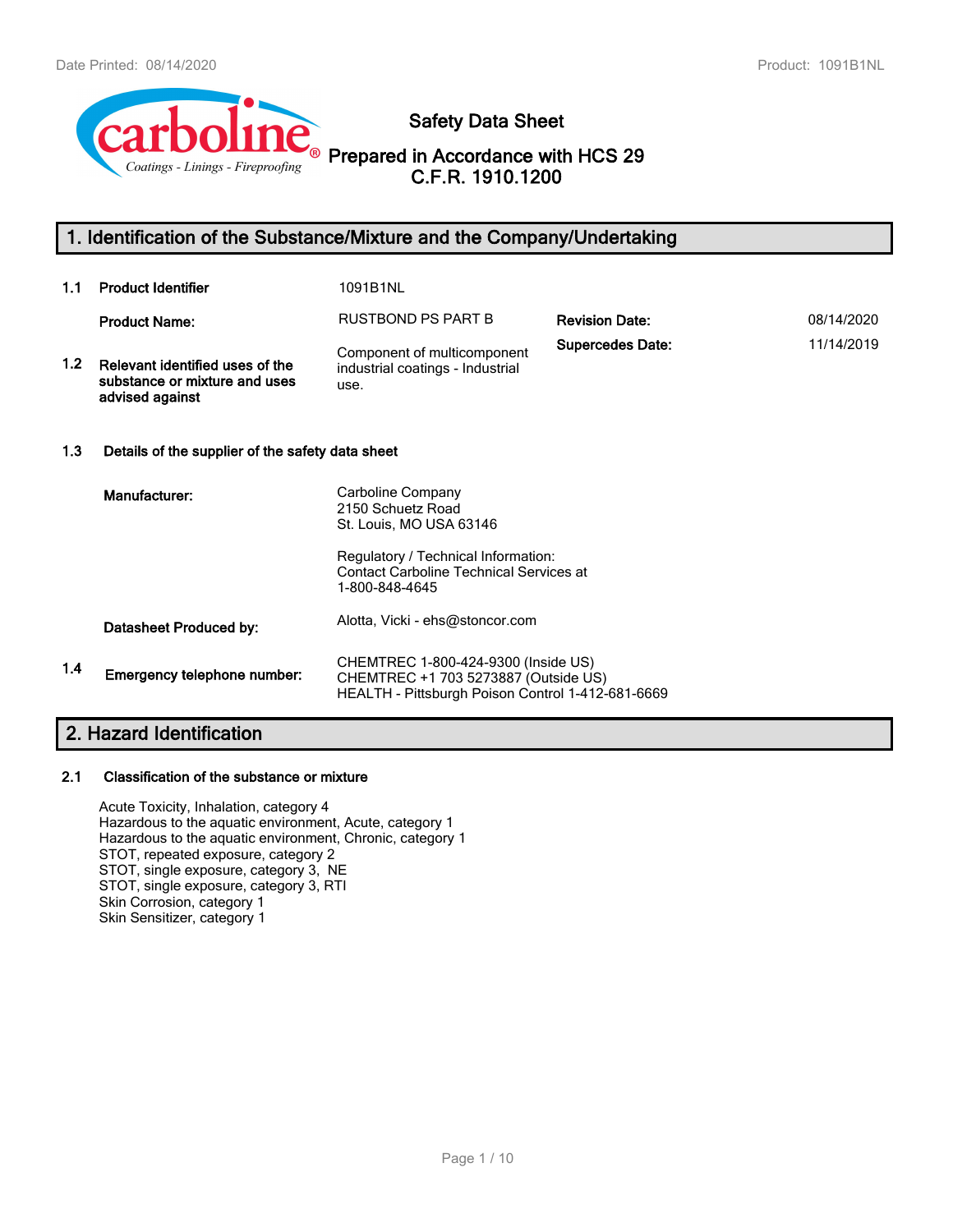

# **Safety Data Sheet**

**Prepared in Accordance with HCS 29 C.F.R. 1910.1200**

# **1. Identification of the Substance/Mixture and the Company/Undertaking**

| 1.1 | <b>Product Identifier</b>                                                           | 1091B1NL                                                                                                                                                                     |                         |            |
|-----|-------------------------------------------------------------------------------------|------------------------------------------------------------------------------------------------------------------------------------------------------------------------------|-------------------------|------------|
|     | <b>Product Name:</b>                                                                | RUSTBOND PS PART B                                                                                                                                                           | <b>Revision Date:</b>   | 08/14/2020 |
| 1.2 | Relevant identified uses of the<br>substance or mixture and uses<br>advised against | Component of multicomponent<br>industrial coatings - Industrial<br>use.                                                                                                      | <b>Supercedes Date:</b> | 11/14/2019 |
| 1.3 | Details of the supplier of the safety data sheet                                    |                                                                                                                                                                              |                         |            |
|     | Manufacturer:                                                                       | Carboline Company<br>2150 Schuetz Road<br>St. Louis, MO USA 63146<br>Regulatory / Technical Information:<br><b>Contact Carboline Technical Services at</b><br>1-800-848-4645 |                         |            |
|     | Datasheet Produced by:                                                              | Alotta, Vicki - ehs@stoncor.com                                                                                                                                              |                         |            |
| 1.4 | Emergency telephone number:                                                         | CHEMTREC 1-800-424-9300 (Inside US)<br>CHEMTREC +1 703 5273887 (Outside US)<br>HEALTH - Pittsburgh Poison Control 1-412-681-6669                                             |                         |            |

# **2. Hazard Identification**

#### **2.1 Classification of the substance or mixture**

Acute Toxicity, Inhalation, category 4 Hazardous to the aquatic environment, Acute, category 1 Hazardous to the aquatic environment, Chronic, category 1 STOT, repeated exposure, category 2 STOT, single exposure, category 3, NE STOT, single exposure, category 3, RTI Skin Corrosion, category 1 Skin Sensitizer, category 1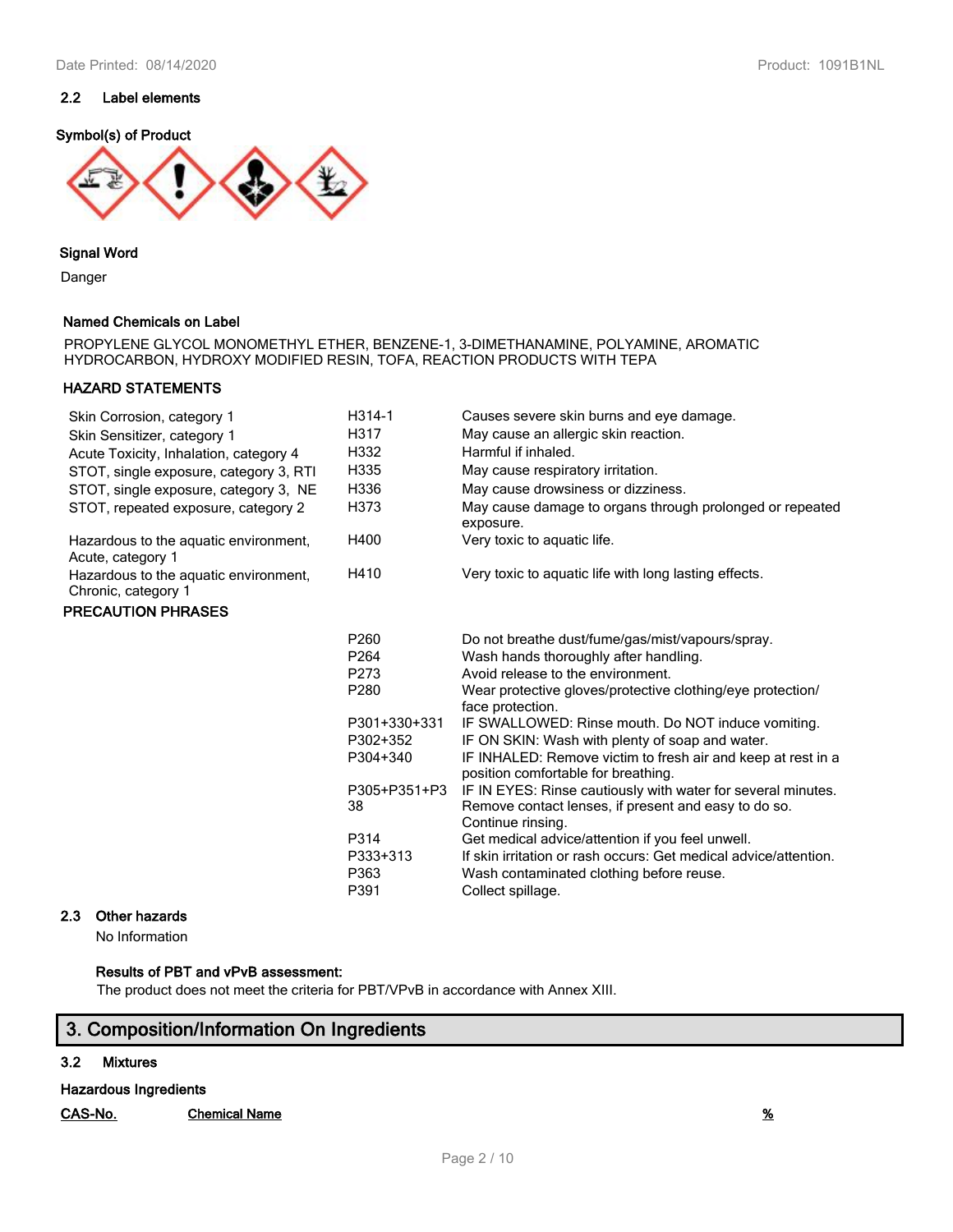

**Signal Word**

Danger

## **Named Chemicals on Label**

PROPYLENE GLYCOL MONOMETHYL ETHER, BENZENE-1, 3-DIMETHANAMINE, POLYAMINE, AROMATIC HYDROCARBON, HYDROXY MODIFIED RESIN, TOFA, REACTION PRODUCTS WITH TEPA

## **HAZARD STATEMENTS**

| Skin Corrosion, category 1<br>Skin Sensitizer, category 1<br>Acute Toxicity, Inhalation, category 4<br>STOT, single exposure, category 3, RTI<br>STOT, single exposure, category 3, NE<br>STOT, repeated exposure, category 2 | H314-1<br>H317<br>H332<br>H335<br>H336<br>H373 | Causes severe skin burns and eye damage.<br>May cause an allergic skin reaction.<br>Harmful if inhaled.<br>May cause respiratory irritation.<br>May cause drowsiness or dizziness.<br>May cause damage to organs through prolonged or repeated<br>exposure. |
|-------------------------------------------------------------------------------------------------------------------------------------------------------------------------------------------------------------------------------|------------------------------------------------|-------------------------------------------------------------------------------------------------------------------------------------------------------------------------------------------------------------------------------------------------------------|
| Hazardous to the aquatic environment,<br>Acute, category 1                                                                                                                                                                    | H400                                           | Very toxic to aquatic life.                                                                                                                                                                                                                                 |
| Hazardous to the aquatic environment,<br>Chronic, category 1                                                                                                                                                                  | H410                                           | Very toxic to aquatic life with long lasting effects.                                                                                                                                                                                                       |
| <b>PRECAUTION PHRASES</b>                                                                                                                                                                                                     |                                                |                                                                                                                                                                                                                                                             |
|                                                                                                                                                                                                                               | P260                                           | Do not breathe dust/fume/gas/mist/vapours/spray.                                                                                                                                                                                                            |
|                                                                                                                                                                                                                               | P264                                           | Wash hands thoroughly after handling.                                                                                                                                                                                                                       |
|                                                                                                                                                                                                                               | P273                                           | Avoid release to the environment.                                                                                                                                                                                                                           |
|                                                                                                                                                                                                                               | P280                                           | Wear protective gloves/protective clothing/eye protection/<br>face protection.                                                                                                                                                                              |
|                                                                                                                                                                                                                               | P301+330+331                                   | IF SWALLOWED: Rinse mouth. Do NOT induce vomiting.                                                                                                                                                                                                          |
|                                                                                                                                                                                                                               | P302+352                                       | IF ON SKIN: Wash with plenty of soap and water.                                                                                                                                                                                                             |
|                                                                                                                                                                                                                               | P304+340                                       | IF INHALED: Remove victim to fresh air and keep at rest in a<br>position comfortable for breathing.                                                                                                                                                         |
|                                                                                                                                                                                                                               | P305+P351+P3<br>38                             | IF IN EYES: Rinse cautiously with water for several minutes.<br>Remove contact lenses, if present and easy to do so.<br>Continue rinsing.                                                                                                                   |
|                                                                                                                                                                                                                               | P314<br>P333+313<br>P363                       | Get medical advice/attention if you feel unwell.<br>If skin irritation or rash occurs: Get medical advice/attention.<br>Wash contaminated clothing before reuse.                                                                                            |
|                                                                                                                                                                                                                               | P391                                           | Collect spillage.                                                                                                                                                                                                                                           |

## **2.3 Other hazards**

No Information

## **Results of PBT and vPvB assessment:**

The product does not meet the criteria for PBT/VPvB in accordance with Annex XIII.

# **3. Composition/Information On Ingredients**

## **3.2 Mixtures**

**Hazardous Ingredients**

**CAS-No. Chemical Name %**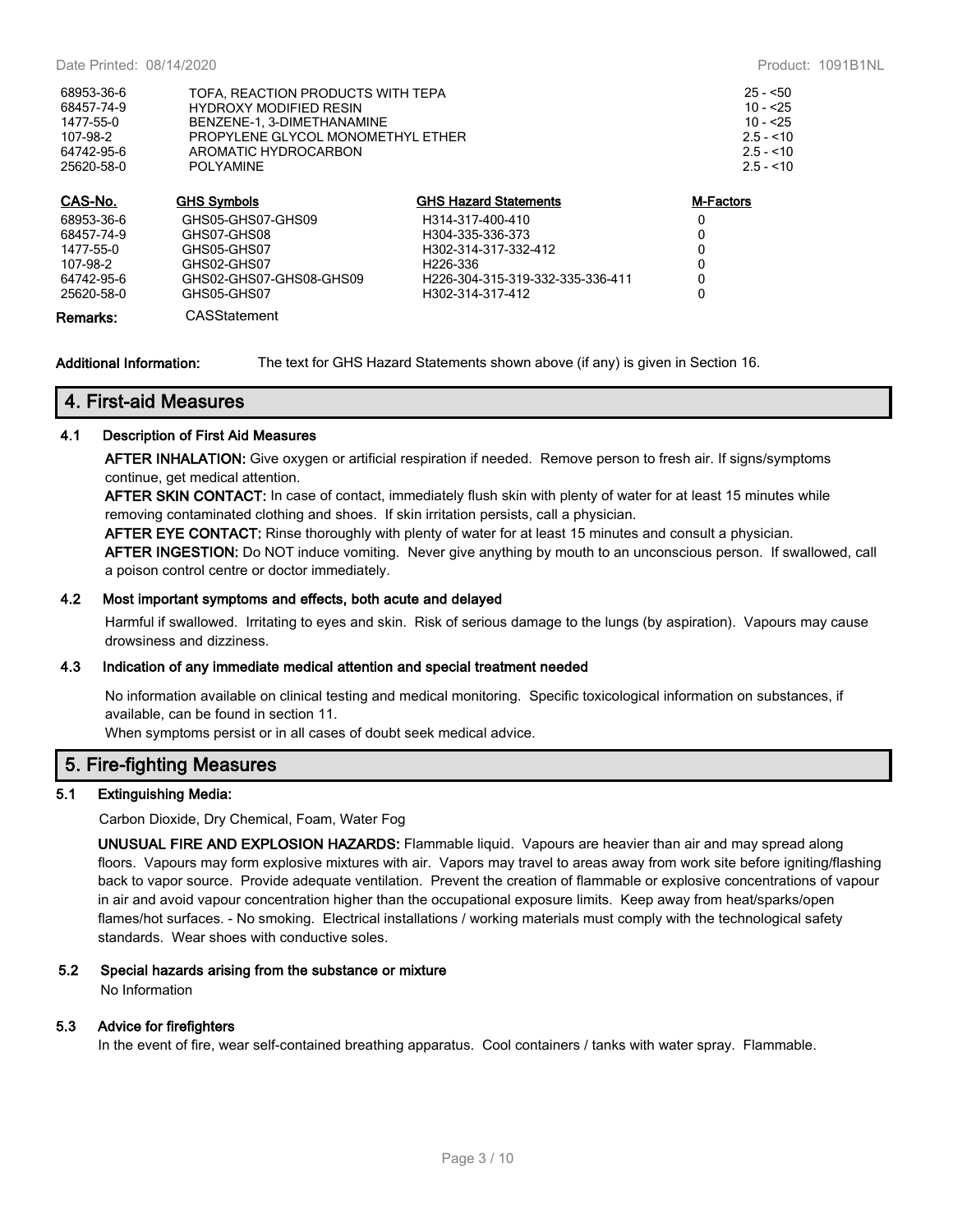| CAR No     | CHC Cumbolo                       | CUC Hozard Ctatamante | M Engtern  |
|------------|-----------------------------------|-----------------------|------------|
| 25620-58-0 | POI YAMINE                        |                       | $2.5 - 10$ |
| 64742-95-6 | AROMATIC HYDROCARBON              | $2.5 - 10$            |            |
| 107-98-2   | PROPYLENE GLYCOL MONOMETHYL ETHER | $2.5 - 10$            |            |
| 1477-55-0  | BENZENE-1, 3-DIMETHANAMINE        |                       | $10 - 25$  |
| 68457-74-9 | <b>HYDROXY MODIFIED RESIN</b>     | $10 - 25$             |            |
| 68953-36-6 | TOFA. REACTION PRODUCTS WITH TEPA | $25 - 50$             |            |
|            |                                   |                       |            |

| CAS-No.    | <b>GHS Symbols</b>      | <b>GHS Hazard Statements</b>     | <b>M-Factors</b> |
|------------|-------------------------|----------------------------------|------------------|
| 68953-36-6 | GHS05-GHS07-GHS09       | H314-317-400-410                 | 0                |
| 68457-74-9 | GHS07-GHS08             | H304-335-336-373                 | 0                |
| 1477-55-0  | GHS05-GHS07             | H302-314-317-332-412             | 0                |
| 107-98-2   | GHS02-GHS07             | H <sub>226</sub> -336            | 0                |
| 64742-95-6 | GHS02-GHS07-GHS08-GHS09 | H226-304-315-319-332-335-336-411 | 0                |
| 25620-58-0 | GHS05-GHS07             | H302-314-317-412                 |                  |
| Remarks:   | CASStatement            |                                  |                  |

**Additional Information:** The text for GHS Hazard Statements shown above (if any) is given in Section 16.

## **4. First-aid Measures**

## **4.1 Description of First Aid Measures**

**AFTER INHALATION:** Give oxygen or artificial respiration if needed. Remove person to fresh air. If signs/symptoms continue, get medical attention.

**AFTER SKIN CONTACT:** In case of contact, immediately flush skin with plenty of water for at least 15 minutes while removing contaminated clothing and shoes. If skin irritation persists, call a physician.

**AFTER EYE CONTACT:** Rinse thoroughly with plenty of water for at least 15 minutes and consult a physician.

**AFTER INGESTION:** Do NOT induce vomiting. Never give anything by mouth to an unconscious person. If swallowed, call a poison control centre or doctor immediately.

#### **4.2 Most important symptoms and effects, both acute and delayed**

Harmful if swallowed. Irritating to eyes and skin. Risk of serious damage to the lungs (by aspiration). Vapours may cause drowsiness and dizziness.

## **4.3 Indication of any immediate medical attention and special treatment needed**

No information available on clinical testing and medical monitoring. Specific toxicological information on substances, if available, can be found in section 11.

When symptoms persist or in all cases of doubt seek medical advice.

## **5. Fire-fighting Measures**

#### **5.1 Extinguishing Media:**

Carbon Dioxide, Dry Chemical, Foam, Water Fog

**UNUSUAL FIRE AND EXPLOSION HAZARDS:** Flammable liquid. Vapours are heavier than air and may spread along floors. Vapours may form explosive mixtures with air. Vapors may travel to areas away from work site before igniting/flashing back to vapor source. Provide adequate ventilation. Prevent the creation of flammable or explosive concentrations of vapour in air and avoid vapour concentration higher than the occupational exposure limits. Keep away from heat/sparks/open flames/hot surfaces. - No smoking. Electrical installations / working materials must comply with the technological safety standards. Wear shoes with conductive soles.

#### **5.2 Special hazards arising from the substance or mixture**

No Information

#### **5.3 Advice for firefighters**

In the event of fire, wear self-contained breathing apparatus. Cool containers / tanks with water spray. Flammable.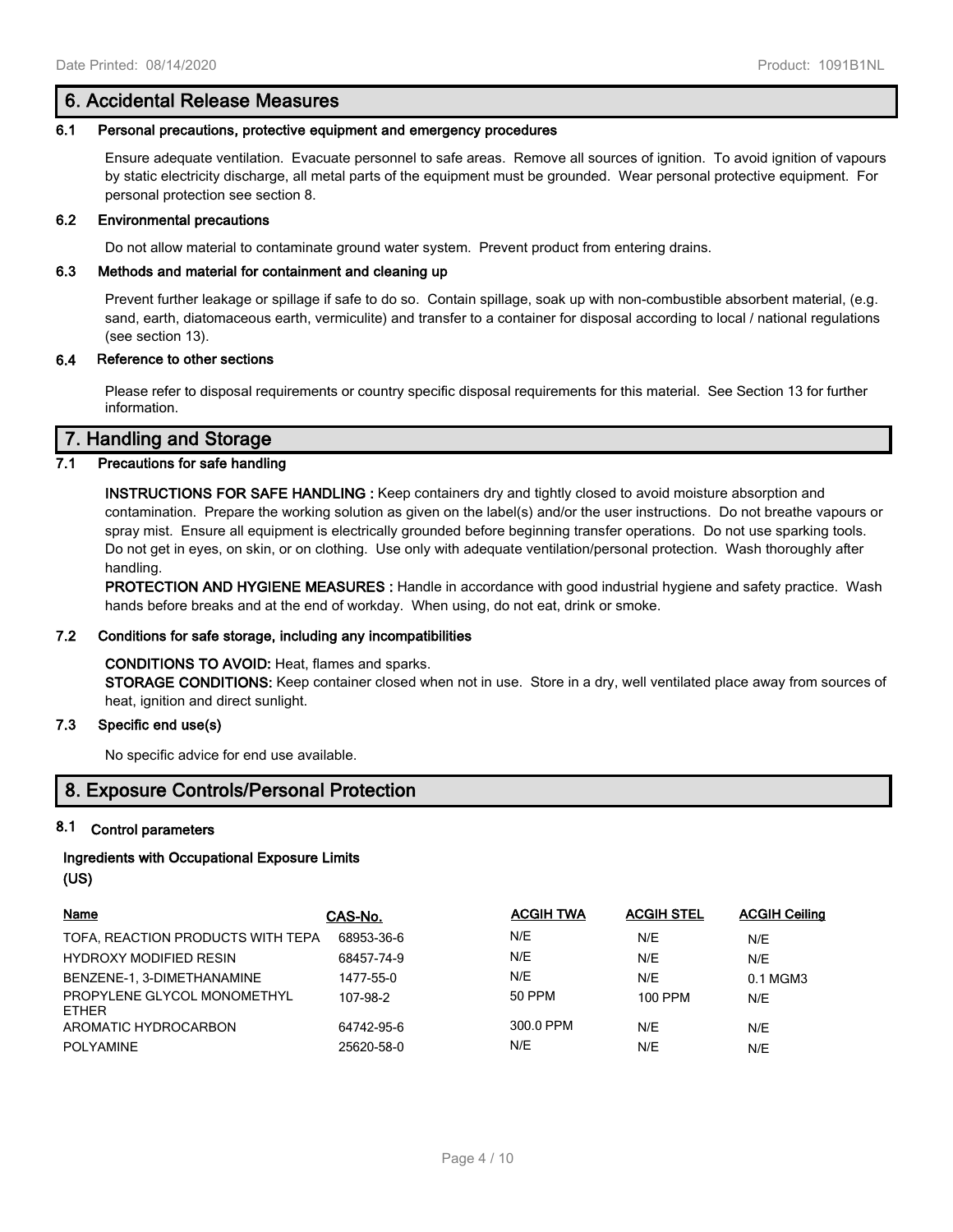## **6. Accidental Release Measures**

#### **6.1 Personal precautions, protective equipment and emergency procedures**

Ensure adequate ventilation. Evacuate personnel to safe areas. Remove all sources of ignition. To avoid ignition of vapours by static electricity discharge, all metal parts of the equipment must be grounded. Wear personal protective equipment. For personal protection see section 8.

#### **6.2 Environmental precautions**

Do not allow material to contaminate ground water system. Prevent product from entering drains.

#### **6.3 Methods and material for containment and cleaning up**

Prevent further leakage or spillage if safe to do so. Contain spillage, soak up with non-combustible absorbent material, (e.g. sand, earth, diatomaceous earth, vermiculite) and transfer to a container for disposal according to local / national regulations (see section 13).

## **6.4 Reference to other sections**

Please refer to disposal requirements or country specific disposal requirements for this material. See Section 13 for further information.

## **7. Handling and Storage**

## **7.1 Precautions for safe handling**

**INSTRUCTIONS FOR SAFE HANDLING :** Keep containers dry and tightly closed to avoid moisture absorption and contamination. Prepare the working solution as given on the label(s) and/or the user instructions. Do not breathe vapours or spray mist. Ensure all equipment is electrically grounded before beginning transfer operations. Do not use sparking tools. Do not get in eyes, on skin, or on clothing. Use only with adequate ventilation/personal protection. Wash thoroughly after handling.

**PROTECTION AND HYGIENE MEASURES :** Handle in accordance with good industrial hygiene and safety practice. Wash hands before breaks and at the end of workday. When using, do not eat, drink or smoke.

#### **7.2 Conditions for safe storage, including any incompatibilities**

#### **CONDITIONS TO AVOID:** Heat, flames and sparks.

**STORAGE CONDITIONS:** Keep container closed when not in use. Store in a dry, well ventilated place away from sources of heat, ignition and direct sunlight.

## **7.3 Specific end use(s)**

No specific advice for end use available.

## **8. Exposure Controls/Personal Protection**

#### **8.1 Control parameters**

## **Ingredients with Occupational Exposure Limits (US)**

| Name                                        | CAS-No.    | <b>ACGIH TWA</b> | <b>ACGIH STEL</b> | <b>ACGIH Ceiling</b> |
|---------------------------------------------|------------|------------------|-------------------|----------------------|
| TOFA, REACTION PRODUCTS WITH TEPA           | 68953-36-6 | N/E              | N/E               | N/E                  |
| <b>HYDROXY MODIFIED RESIN</b>               | 68457-74-9 | N/E              | N/E               | N/E                  |
| BENZENE-1, 3-DIMETHANAMINE                  | 1477-55-0  | N/E              | N/E               | 0.1 MGM3             |
| PROPYLENE GLYCOL MONOMETHYL<br><b>ETHER</b> | 107-98-2   | 50 PPM           | 100 PPM           | N/E                  |
| AROMATIC HYDROCARBON                        | 64742-95-6 | 300.0 PPM        | N/E               | N/E                  |
| <b>POLYAMINE</b>                            | 25620-58-0 | N/E              | N/E               | N/E                  |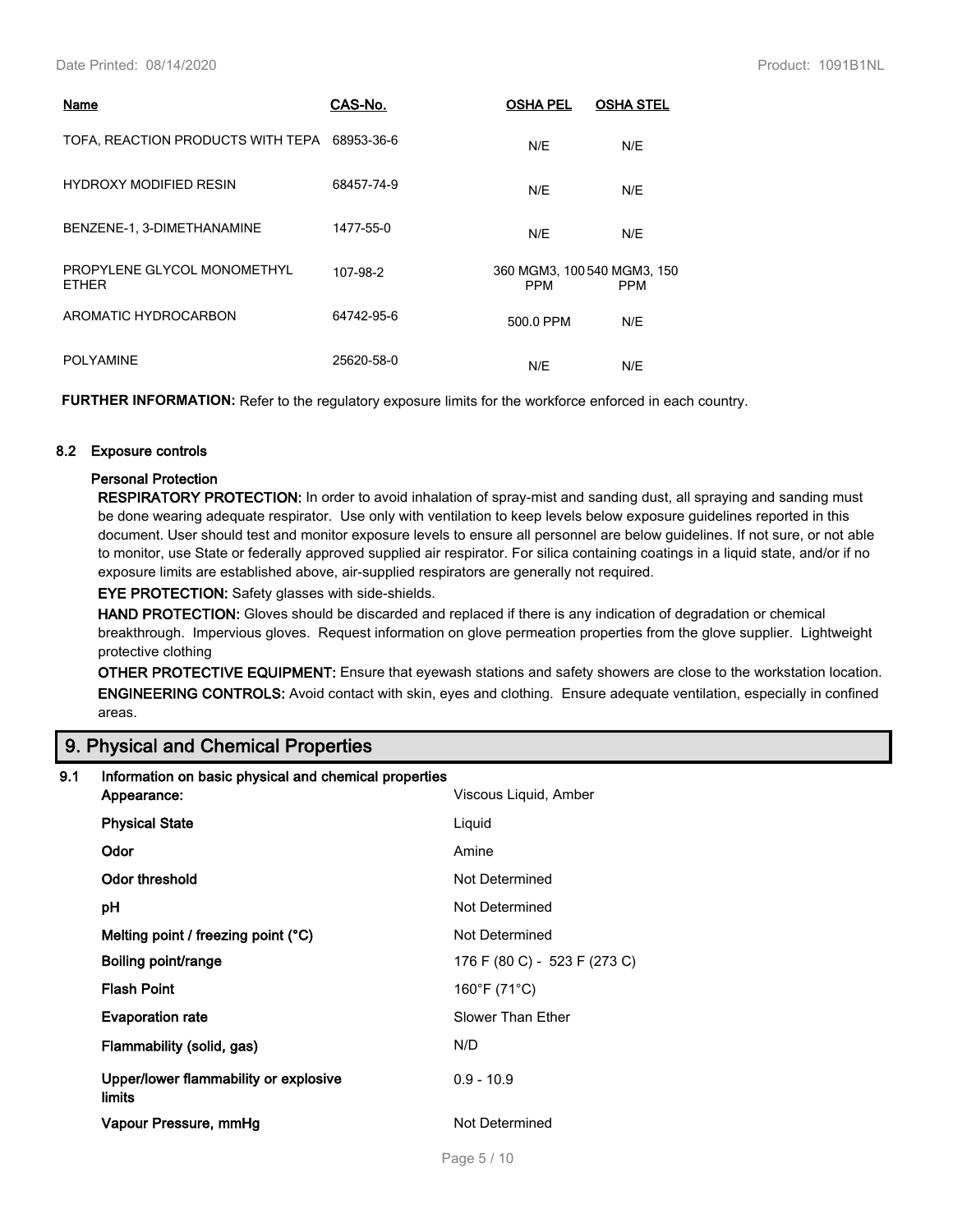| Name                                         | CAS-No.    | <b>OSHA PEL</b>                           | <b>OSHA STEL</b> |
|----------------------------------------------|------------|-------------------------------------------|------------------|
| TOFA, REACTION PRODUCTS WITH TEPA 68953-36-6 |            | N/E                                       | N/E              |
| <b>HYDROXY MODIFIED RESIN</b>                | 68457-74-9 | N/E                                       | N/E              |
| BENZENE-1, 3-DIMETHANAMINE                   | 1477-55-0  | N/E                                       | N/E              |
| PROPYLENE GLYCOL MONOMETHYL<br><b>ETHER</b>  | 107-98-2   | 360 MGM3, 100 540 MGM3, 150<br><b>PPM</b> | <b>PPM</b>       |
| AROMATIC HYDROCARBON                         | 64742-95-6 | 500.0 PPM                                 | N/E              |
| <b>POLYAMINE</b>                             | 25620-58-0 | N/E                                       | N/E              |

**FURTHER INFORMATION:** Refer to the regulatory exposure limits for the workforce enforced in each country.

## **8.2 Exposure controls**

## **Personal Protection**

**RESPIRATORY PROTECTION:** In order to avoid inhalation of spray-mist and sanding dust, all spraying and sanding must be done wearing adequate respirator. Use only with ventilation to keep levels below exposure guidelines reported in this document. User should test and monitor exposure levels to ensure all personnel are below guidelines. If not sure, or not able to monitor, use State or federally approved supplied air respirator. For silica containing coatings in a liquid state, and/or if no exposure limits are established above, air-supplied respirators are generally not required.

**EYE PROTECTION:** Safety glasses with side-shields.

**HAND PROTECTION:** Gloves should be discarded and replaced if there is any indication of degradation or chemical breakthrough. Impervious gloves. Request information on glove permeation properties from the glove supplier. Lightweight protective clothing

**OTHER PROTECTIVE EQUIPMENT:** Ensure that eyewash stations and safety showers are close to the workstation location. **ENGINEERING CONTROLS:** Avoid contact with skin, eyes and clothing. Ensure adequate ventilation, especially in confined areas.

## **9. Physical and Chemical Properties**

| 9.1 | Information on basic physical and chemical properties  |                              |  |  |
|-----|--------------------------------------------------------|------------------------------|--|--|
|     | Appearance:                                            | Viscous Liquid, Amber        |  |  |
|     | <b>Physical State</b>                                  | Liquid                       |  |  |
|     | Odor                                                   | Amine                        |  |  |
|     | Odor threshold                                         | Not Determined               |  |  |
|     | pH                                                     | Not Determined               |  |  |
|     | Melting point / freezing point (°C)                    | Not Determined               |  |  |
|     | Boiling point/range                                    | 176 F (80 C) - 523 F (273 C) |  |  |
|     | <b>Flash Point</b>                                     | 160°F (71°C)                 |  |  |
|     | <b>Evaporation rate</b>                                | Slower Than Ether            |  |  |
|     | Flammability (solid, gas)                              | N/D                          |  |  |
|     | Upper/lower flammability or explosive<br><b>limits</b> | $0.9 - 10.9$                 |  |  |
|     | Vapour Pressure, mmHg                                  | Not Determined               |  |  |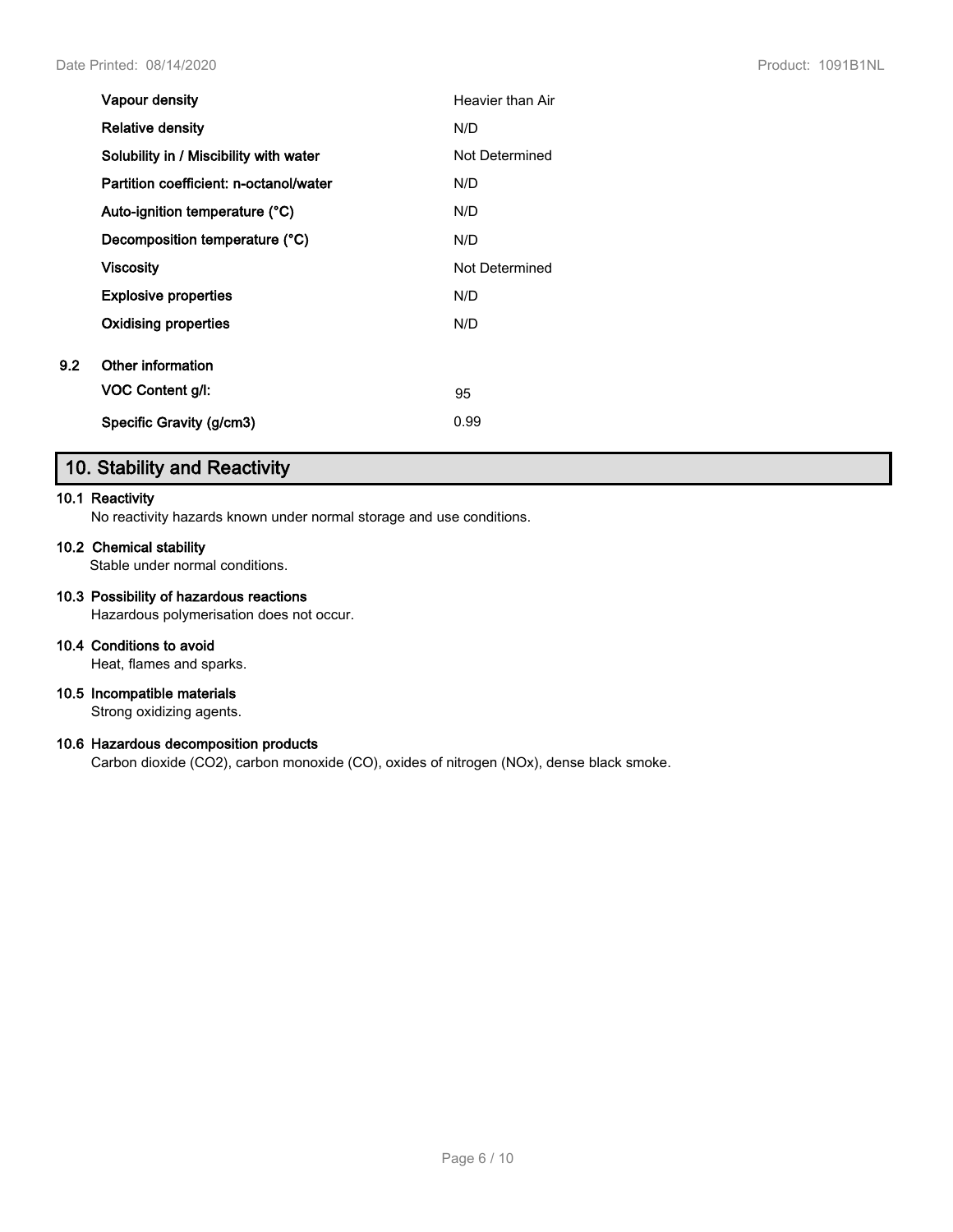|     | Vapour density                         | Heavier than Air |
|-----|----------------------------------------|------------------|
|     | <b>Relative density</b>                | N/D              |
|     | Solubility in / Miscibility with water | Not Determined   |
|     | Partition coefficient: n-octanol/water | N/D              |
|     | Auto-ignition temperature (°C)         | N/D              |
|     | Decomposition temperature (°C)         | N/D              |
|     | Viscosity                              | Not Determined   |
|     | <b>Explosive properties</b>            | N/D              |
|     | Oxidising properties                   | N/D              |
| 9.2 | Other information                      |                  |
|     | VOC Content g/l:                       | 95               |
|     | Specific Gravity (g/cm3)               | 0.99             |

# **10. Stability and Reactivity**

#### **10.1 Reactivity**

No reactivity hazards known under normal storage and use conditions.

## **10.2 Chemical stability**

Stable under normal conditions.

## **10.3 Possibility of hazardous reactions**

Hazardous polymerisation does not occur.

### **10.4 Conditions to avoid**

Heat, flames and sparks.

## **10.5 Incompatible materials**

Strong oxidizing agents.

## **10.6 Hazardous decomposition products**

Carbon dioxide (CO2), carbon monoxide (CO), oxides of nitrogen (NOx), dense black smoke.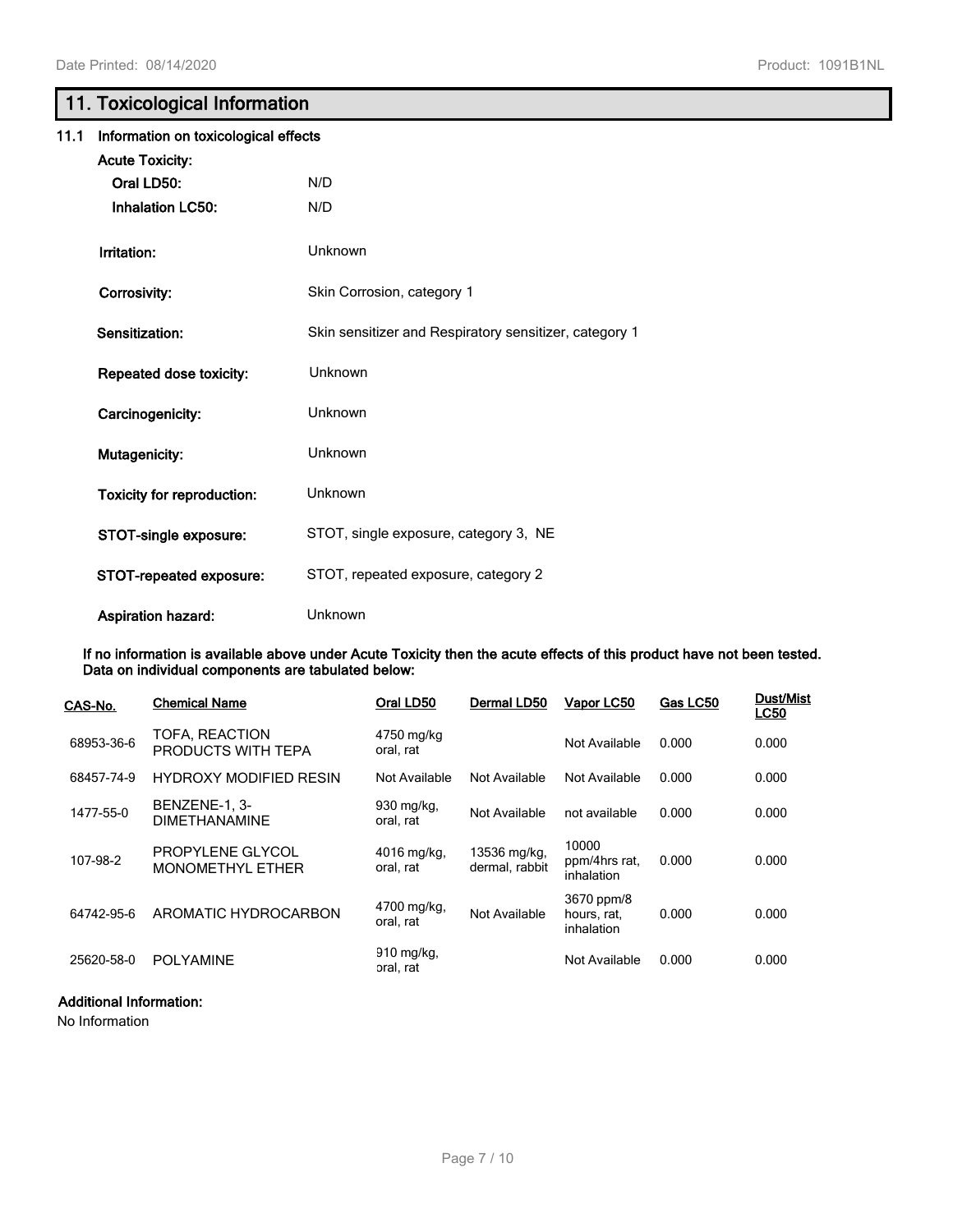# **11. Toxicological Information**

| 11.1 | Information on toxicological effects |                                                        |  |
|------|--------------------------------------|--------------------------------------------------------|--|
|      | <b>Acute Toxicity:</b>               |                                                        |  |
|      | Oral LD50:                           | N/D                                                    |  |
|      | <b>Inhalation LC50:</b>              | N/D                                                    |  |
|      | Irritation:                          | Unknown                                                |  |
|      | Corrosivity:                         | Skin Corrosion, category 1                             |  |
|      | Sensitization:                       | Skin sensitizer and Respiratory sensitizer, category 1 |  |
|      | Repeated dose toxicity:              | Unknown                                                |  |
|      | Carcinogenicity:                     | Unknown                                                |  |
|      | <b>Mutagenicity:</b>                 | Unknown                                                |  |
|      | <b>Toxicity for reproduction:</b>    | Unknown                                                |  |
|      | STOT-single exposure:                | STOT, single exposure, category 3, NE                  |  |
|      | STOT-repeated exposure:              | STOT, repeated exposure, category 2                    |  |
|      | <b>Aspiration hazard:</b>            | Unknown                                                |  |

**If no information is available above under Acute Toxicity then the acute effects of this product have not been tested. Data on individual components are tabulated below:**

| CAS-No.    | <b>Chemical Name</b>                  | Oral LD50                | Dermal LD50                    | Vapor LC50                              | Gas LC50 | <b>Dust/Mist</b><br><b>LC50</b> |
|------------|---------------------------------------|--------------------------|--------------------------------|-----------------------------------------|----------|---------------------------------|
| 68953-36-6 | TOFA, REACTION<br>PRODUCTS WITH TEPA  | 4750 mg/kg<br>oral. rat  |                                | Not Available                           | 0.000    | 0.000                           |
| 68457-74-9 | <b>HYDROXY MODIFIED RESIN</b>         | Not Available            | Not Available                  | Not Available                           | 0.000    | 0.000                           |
| 1477-55-0  | BENZENE-1, 3-<br><b>DIMETHANAMINE</b> | 930 mg/kg,<br>oral, rat  | Not Available                  | not available                           | 0.000    | 0.000                           |
| 107-98-2   | PROPYLENE GLYCOL<br>MONOMETHYL ETHER  | 4016 mg/kg,<br>oral, rat | 13536 mg/kg,<br>dermal, rabbit | 10000<br>ppm/4hrs rat.<br>inhalation    | 0.000    | 0.000                           |
| 64742-95-6 | AROMATIC HYDROCARBON                  | 4700 mg/kg,<br>oral, rat | Not Available                  | 3670 ppm/8<br>hours, rat,<br>inhalation | 0.000    | 0.000                           |
| 25620-58-0 | <b>POLYAMINE</b>                      | 910 mg/kg,<br>oral, rat  |                                | Not Available                           | 0.000    | 0.000                           |

## **Additional Information:**

No Information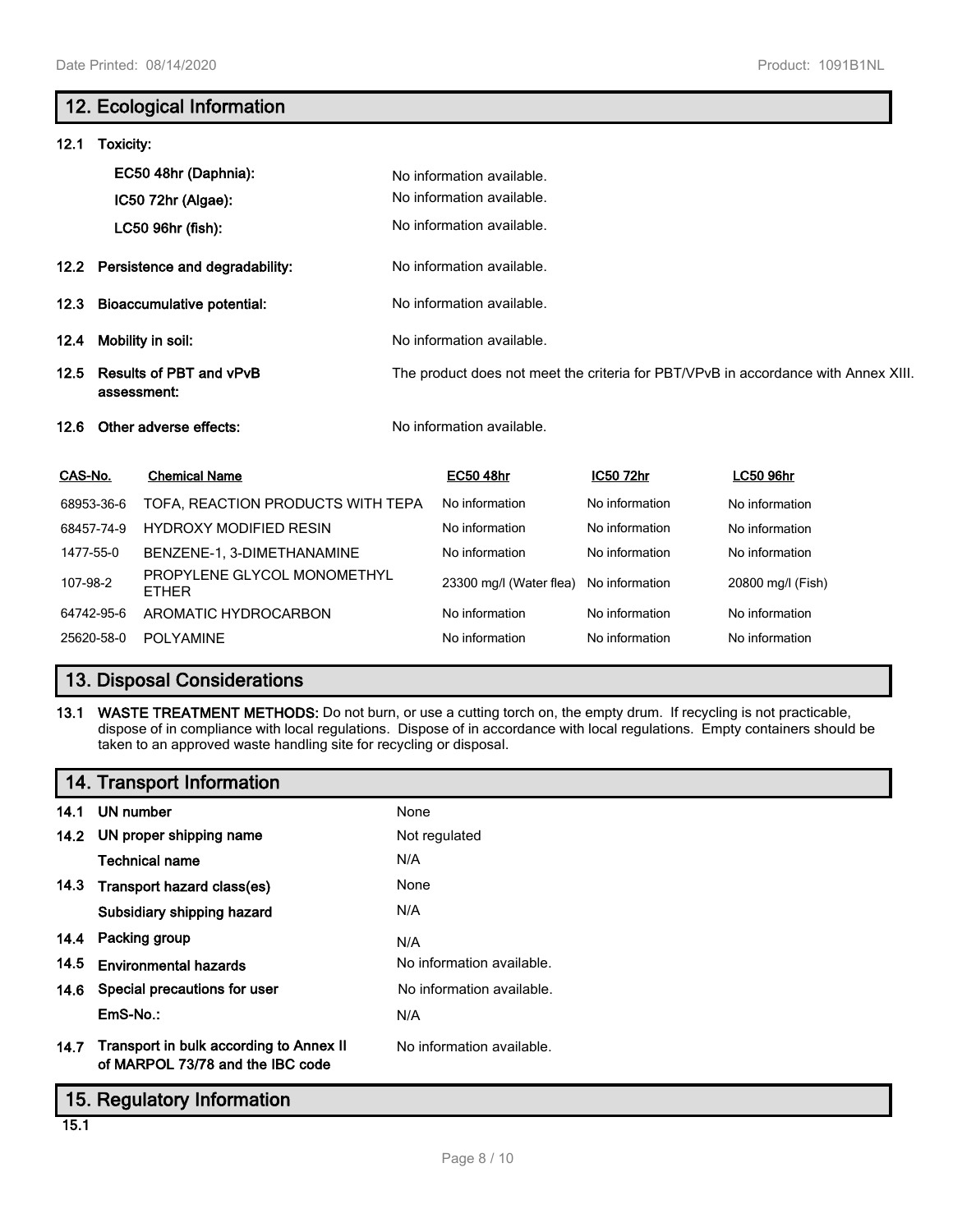# **12. Ecological Information**

| 12.1                           | Toxicity:  |                                               |                           |                |                                                                                    |
|--------------------------------|------------|-----------------------------------------------|---------------------------|----------------|------------------------------------------------------------------------------------|
|                                |            | EC50 48hr (Daphnia):                          | No information available. |                |                                                                                    |
|                                |            | IC50 72hr (Algae):                            | No information available. |                |                                                                                    |
|                                |            | LC50 96hr (fish):                             | No information available. |                |                                                                                    |
|                                |            | 12.2 Persistence and degradability:           | No information available. |                |                                                                                    |
| 12.3                           |            | <b>Bioaccumulative potential:</b>             | No information available. |                |                                                                                    |
| 12.4                           |            | Mobility in soil:                             | No information available. |                |                                                                                    |
| 12.5                           |            | <b>Results of PBT and vPvB</b><br>assessment: |                           |                | The product does not meet the criteria for PBT/VPvB in accordance with Annex XIII. |
| 12.6                           |            | Other adverse effects:                        | No information available. |                |                                                                                    |
| CAS-No.                        |            | <b>Chemical Name</b>                          | <b>EC50 48hr</b>          | IC50 72hr      | <b>LC50 96hr</b>                                                                   |
|                                | 68953-36-6 | TOFA, REACTION PRODUCTS WITH TEPA             | No information            | No information | No information                                                                     |
|                                | 68457-74-9 | <b>HYDROXY MODIFIED RESIN</b>                 | No information            | No information | No information                                                                     |
| 1477-55-0                      |            | BENZENE-1, 3-DIMETHANAMINE                    | No information            | No information | No information                                                                     |
| 107-98-2                       |            | PROPYLENE GLYCOL MONOMETHYL<br><b>ETHER</b>   | 23300 mg/l (Water flea)   | No information | 20800 mg/l (Fish)                                                                  |
|                                | 64742-95-6 | AROMATIC HYDROCARBON                          | No information            | No information | No information                                                                     |
| 25620-58-0<br><b>POLYAMINE</b> |            |                                               | No information            | No information | No information                                                                     |

# **13. Disposal Considerations**

**13.1 WASTE TREATMENT METHODS:** Do not burn, or use a cutting torch on, the empty drum. If recycling is not practicable, dispose of in compliance with local regulations. Dispose of in accordance with local regulations. Empty containers should be taken to an approved waste handling site for recycling or disposal.

# **14. Transport Information**

| 14.1 | UN number                                                                        | None                      |
|------|----------------------------------------------------------------------------------|---------------------------|
|      | 14.2 UN proper shipping name                                                     | Not regulated             |
|      | <b>Technical name</b>                                                            | N/A                       |
|      | 14.3 Transport hazard class(es)                                                  | None                      |
|      | Subsidiary shipping hazard                                                       | N/A                       |
|      | 14.4 Packing group                                                               | N/A                       |
| 14.5 | <b>Environmental hazards</b>                                                     | No information available. |
|      | 14.6 Special precautions for user                                                | No information available. |
|      | EmS-No.:                                                                         | N/A                       |
|      | 14.7 Transport in bulk according to Annex II<br>of MARPOL 73/78 and the IBC code | No information available. |
|      | 15. Regulatory Information                                                       |                           |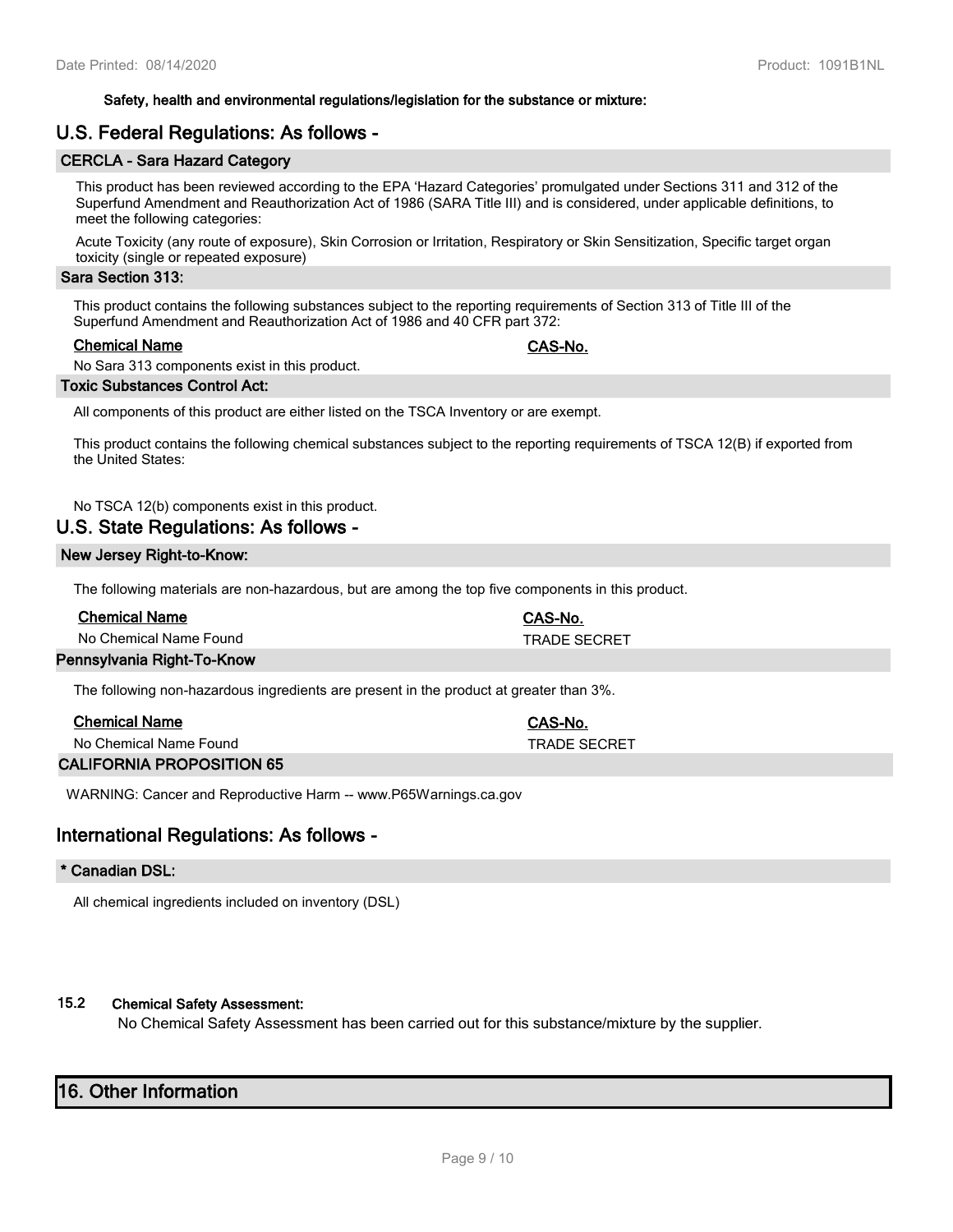#### **Safety, health and environmental regulations/legislation for the substance or mixture:**

## **U.S. Federal Regulations: As follows -**

## **CERCLA - Sara Hazard Category**

This product has been reviewed according to the EPA 'Hazard Categories' promulgated under Sections 311 and 312 of the Superfund Amendment and Reauthorization Act of 1986 (SARA Title III) and is considered, under applicable definitions, to meet the following categories:

Acute Toxicity (any route of exposure), Skin Corrosion or Irritation, Respiratory or Skin Sensitization, Specific target organ toxicity (single or repeated exposure)

## **Sara Section 313:**

This product contains the following substances subject to the reporting requirements of Section 313 of Title III of the Superfund Amendment and Reauthorization Act of 1986 and 40 CFR part 372:

#### **Chemical Name CAS-No.**

No Sara 313 components exist in this product.

#### **Toxic Substances Control Act:**

All components of this product are either listed on the TSCA Inventory or are exempt.

This product contains the following chemical substances subject to the reporting requirements of TSCA 12(B) if exported from the United States:

No TSCA 12(b) components exist in this product.

## **U.S. State Regulations: As follows -**

## **New Jersey Right-to-Know:**

The following materials are non-hazardous, but are among the top five components in this product.

| <b>Chemical Name</b>       | CAS-No.             |  |
|----------------------------|---------------------|--|
| No Chemical Name Found     | <b>TRADE SECRET</b> |  |
| Pennsylvania Right-To-Know |                     |  |

The following non-hazardous ingredients are present in the product at greater than 3%.

| <b>Chemical Name</b>   | CAS-No.      |
|------------------------|--------------|
| No Chemical Name Found | TRADE SECRET |
|                        |              |

**CALIFORNIA PROPOSITION 65**

WARNING: Cancer and Reproductive Harm -- www.P65Warnings.ca.gov

## **International Regulations: As follows -**

#### **\* Canadian DSL:**

All chemical ingredients included on inventory (DSL)

## **15.2 Chemical Safety Assessment:**

No Chemical Safety Assessment has been carried out for this substance/mixture by the supplier.

## **16. Other Information**